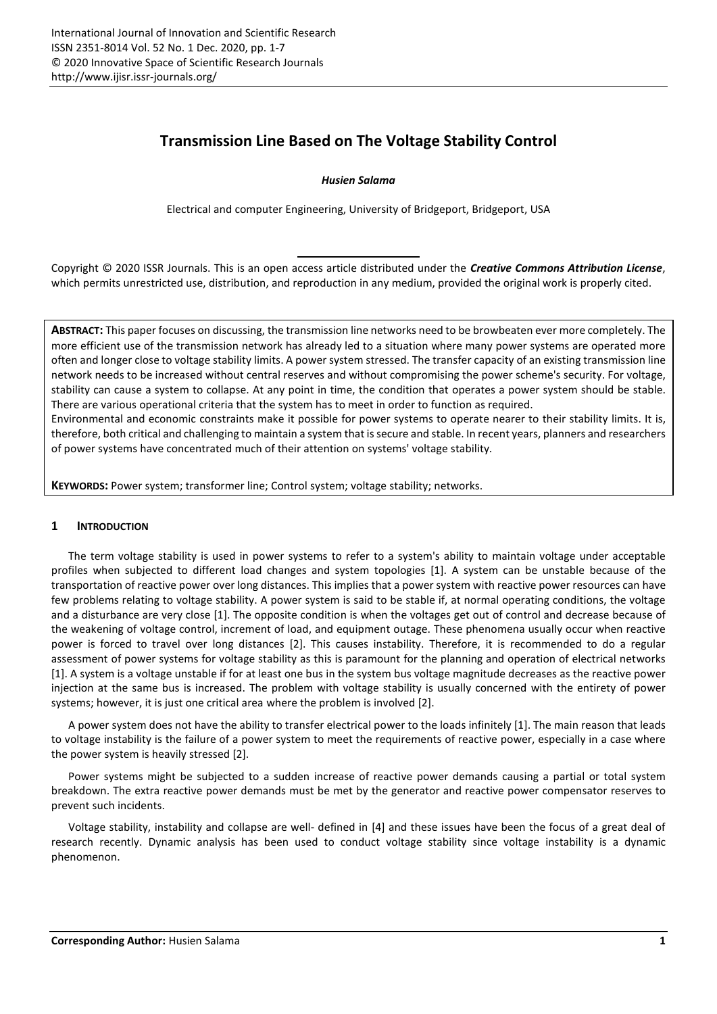# **Transmission Line Based on The Voltage Stability Control**

## *Husien Salama*

Electrical and computer Engineering, University of Bridgeport, Bridgeport, USA

Copyright © 2020 ISSR Journals. This is an open access article distributed under the *Creative Commons Attribution License*, which permits unrestricted use, distribution, and reproduction in any medium, provided the original work is properly cited.

**ABSTRACT:** This paper focuses on discussing, the transmission line networks need to be browbeaten ever more completely. The more efficient use of the transmission network has already led to a situation where many power systems are operated more often and longer close to voltage stability limits. A power system stressed. The transfer capacity of an existing transmission line network needs to be increased without central reserves and without compromising the power scheme's security. For voltage, stability can cause a system to collapse. At any point in time, the condition that operates a power system should be stable. There are various operational criteria that the system has to meet in order to function as required.

Environmental and economic constraints make it possible for power systems to operate nearer to their stability limits. It is, therefore, both critical and challenging to maintain a system that issecure and stable. In recent years, planners and researchers of power systems have concentrated much of their attention on systems' voltage stability.

**KEYWORDS:** Power system; transformer line; Control system; voltage stability; networks.

# **1 INTRODUCTION**

The term voltage stability is used in power systems to refer to a system's ability to maintain voltage under acceptable profiles when subjected to different load changes and system topologies [1]. A system can be unstable because of the transportation of reactive power over long distances. This implies that a power system with reactive power resources can have few problems relating to voltage stability. A power system is said to be stable if, at normal operating conditions, the voltage and a disturbance are very close [1]. The opposite condition is when the voltages get out of control and decrease because of the weakening of voltage control, increment of load, and equipment outage. These phenomena usually occur when reactive power is forced to travel over long distances [2]. This causes instability. Therefore, it is recommended to do a regular assessment of power systems for voltage stability as this is paramount for the planning and operation of electrical networks [1]. A system is a voltage unstable if for at least one bus in the system bus voltage magnitude decreases as the reactive power injection at the same bus is increased. The problem with voltage stability is usually concerned with the entirety of power systems; however, it is just one critical area where the problem is involved [2].

A power system does not have the ability to transfer electrical power to the loads infinitely [1]. The main reason that leads to voltage instability is the failure of a power system to meet the requirements of reactive power, especially in a case where the power system is heavily stressed [2].

Power systems might be subjected to a sudden increase of reactive power demands causing a partial or total system breakdown. The extra reactive power demands must be met by the generator and reactive power compensator reserves to prevent such incidents.

Voltage stability, instability and collapse are well- defined in [4] and these issues have been the focus of a great deal of research recently. Dynamic analysis has been used to conduct voltage stability since voltage instability is a dynamic phenomenon.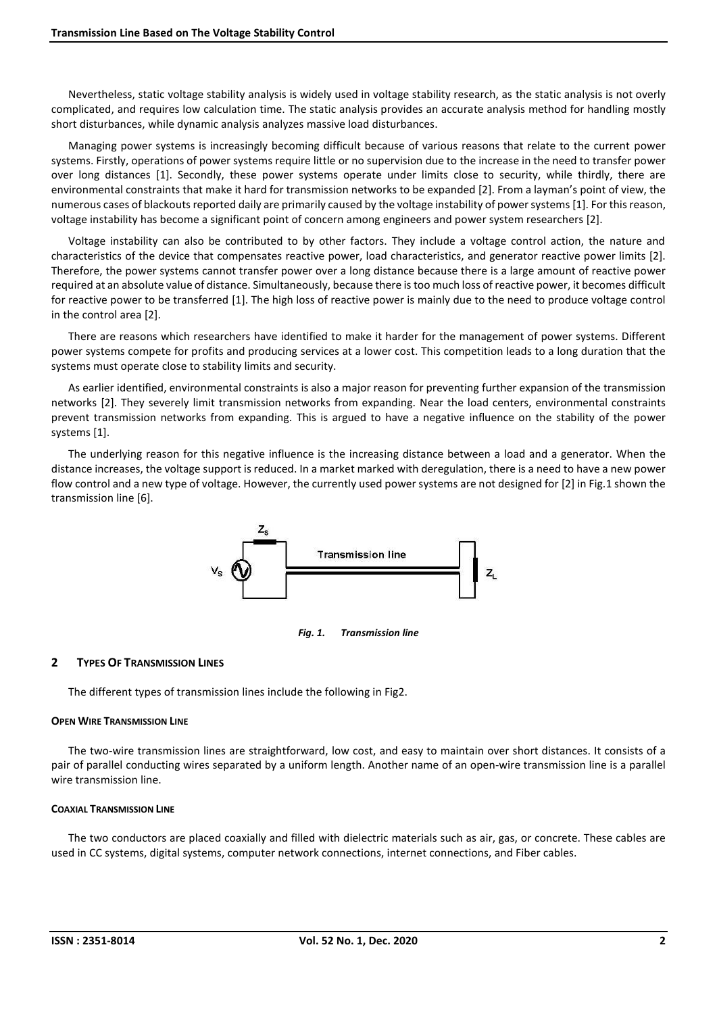Nevertheless, static voltage stability analysis is widely used in voltage stability research, as the static analysis is not overly complicated, and requires low calculation time. The static analysis provides an accurate analysis method for handling mostly short disturbances, while dynamic analysis analyzes massive load disturbances.

Managing power systems is increasingly becoming difficult because of various reasons that relate to the current power systems. Firstly, operations of power systems require little or no supervision due to the increase in the need to transfer power over long distances [1]. Secondly, these power systems operate under limits close to security, while thirdly, there are environmental constraints that make it hard for transmission networks to be expanded [2]. From a layman's point of view, the numerous cases of blackouts reported daily are primarily caused by the voltage instability of powersystems [1]. For this reason, voltage instability has become a significant point of concern among engineers and power system researchers [2].

Voltage instability can also be contributed to by other factors. They include a voltage control action, the nature and characteristics of the device that compensates reactive power, load characteristics, and generator reactive power limits [2]. Therefore, the power systems cannot transfer power over a long distance because there is a large amount of reactive power required at an absolute value of distance. Simultaneously, because there istoo much loss of reactive power, it becomes difficult for reactive power to be transferred [1]. The high loss of reactive power is mainly due to the need to produce voltage control in the control area [2].

There are reasons which researchers have identified to make it harder for the management of power systems. Different power systems compete for profits and producing services at a lower cost. This competition leads to a long duration that the systems must operate close to stability limits and security.

As earlier identified, environmental constraints is also a major reason for preventing further expansion of the transmission networks [2]. They severely limit transmission networks from expanding. Near the load centers, environmental constraints prevent transmission networks from expanding. This is argued to have a negative influence on the stability of the power systems [1].

The underlying reason for this negative influence is the increasing distance between a load and a generator. When the distance increases, the voltage support is reduced. In a market marked with deregulation, there is a need to have a new power flow control and a new type of voltage. However, the currently used power systems are not designed for [2] in Fig.1 shown the transmission line [6].



*Fig. 1. Transmission line*

## **2 TYPES OF TRANSMISSION LINES**

The different types of transmission lines include the following in Fig2.

#### **OPEN WIRE TRANSMISSION LINE**

The two-wire transmission lines are straightforward, low cost, and easy to maintain over short distances. It consists of a pair of parallel conducting wires separated by a uniform length. Another name of an open-wire transmission line is a parallel wire transmission line.

#### **COAXIAL TRANSMISSION LINE**

The two conductors are placed coaxially and filled with dielectric materials such as air, gas, or concrete. These cables are used in CC systems, digital systems, computer network connections, internet connections, and Fiber cables.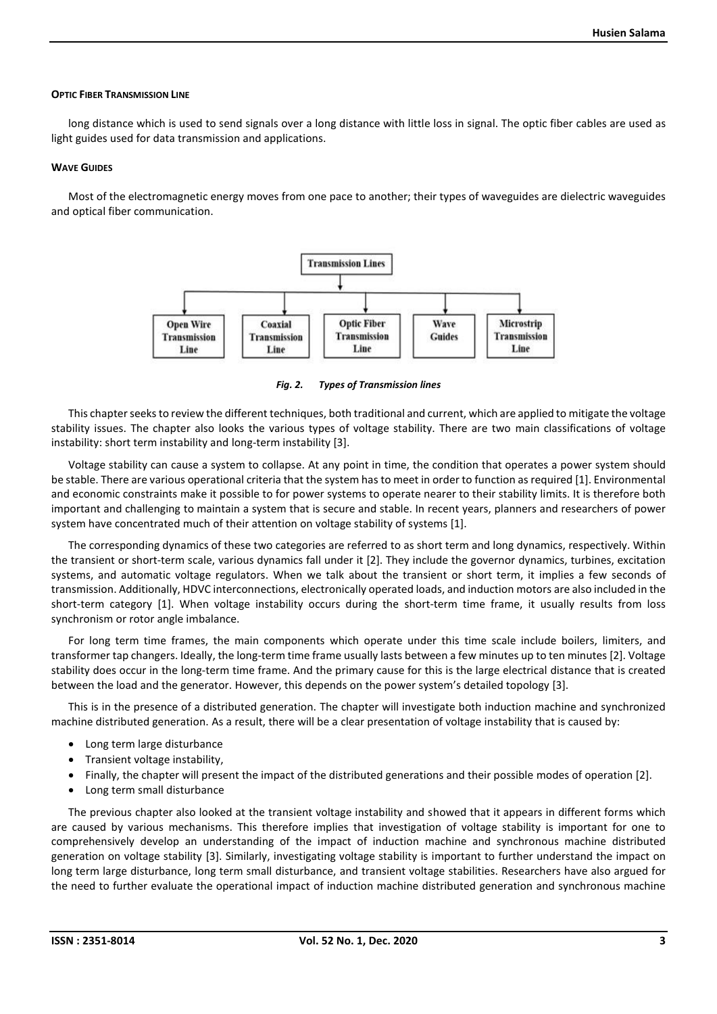#### **OPTIC FIBER TRANSMISSION LINE**

long distance which is used to send signals over a long distance with little loss in signal. The optic fiber cables are used as light guides used for data transmission and applications.

#### **WAVE GUIDES**

Most of the electromagnetic energy moves from one pace to another; their types of waveguides are dielectric waveguides and optical fiber communication.



*Fig. 2. Types of Transmission lines*

This chapter seeks to review the different techniques, both traditional and current, which are applied to mitigate the voltage stability issues. The chapter also looks the various types of voltage stability. There are two main classifications of voltage instability: short term instability and long-term instability [3].

Voltage stability can cause a system to collapse. At any point in time, the condition that operates a power system should be stable. There are various operational criteria that the system has to meet in order to function as required [1]. Environmental and economic constraints make it possible to for power systems to operate nearer to their stability limits. It is therefore both important and challenging to maintain a system that is secure and stable. In recent years, planners and researchers of power system have concentrated much of their attention on voltage stability of systems [1].

The corresponding dynamics of these two categories are referred to as short term and long dynamics, respectively. Within the transient or short-term scale, various dynamics fall under it [2]. They include the governor dynamics, turbines, excitation systems, and automatic voltage regulators. When we talk about the transient or short term, it implies a few seconds of transmission. Additionally, HDVC interconnections, electronically operated loads, and induction motors are also included in the short-term category [1]. When voltage instability occurs during the short-term time frame, it usually results from loss synchronism or rotor angle imbalance.

For long term time frames, the main components which operate under this time scale include boilers, limiters, and transformer tap changers. Ideally, the long-term time frame usually lasts between a few minutes up to ten minutes [2]. Voltage stability does occur in the long-term time frame. And the primary cause for this is the large electrical distance that is created between the load and the generator. However, this depends on the power system's detailed topology [3].

This is in the presence of a distributed generation. The chapter will investigate both induction machine and synchronized machine distributed generation. As a result, there will be a clear presentation of voltage instability that is caused by:

- Long term large disturbance
- Transient voltage instability,
- Finally, the chapter will present the impact of the distributed generations and their possible modes of operation [2].
- Long term small disturbance

The previous chapter also looked at the transient voltage instability and showed that it appears in different forms which are caused by various mechanisms. This therefore implies that investigation of voltage stability is important for one to comprehensively develop an understanding of the impact of induction machine and synchronous machine distributed generation on voltage stability [3]. Similarly, investigating voltage stability is important to further understand the impact on long term large disturbance, long term small disturbance, and transient voltage stabilities. Researchers have also argued for the need to further evaluate the operational impact of induction machine distributed generation and synchronous machine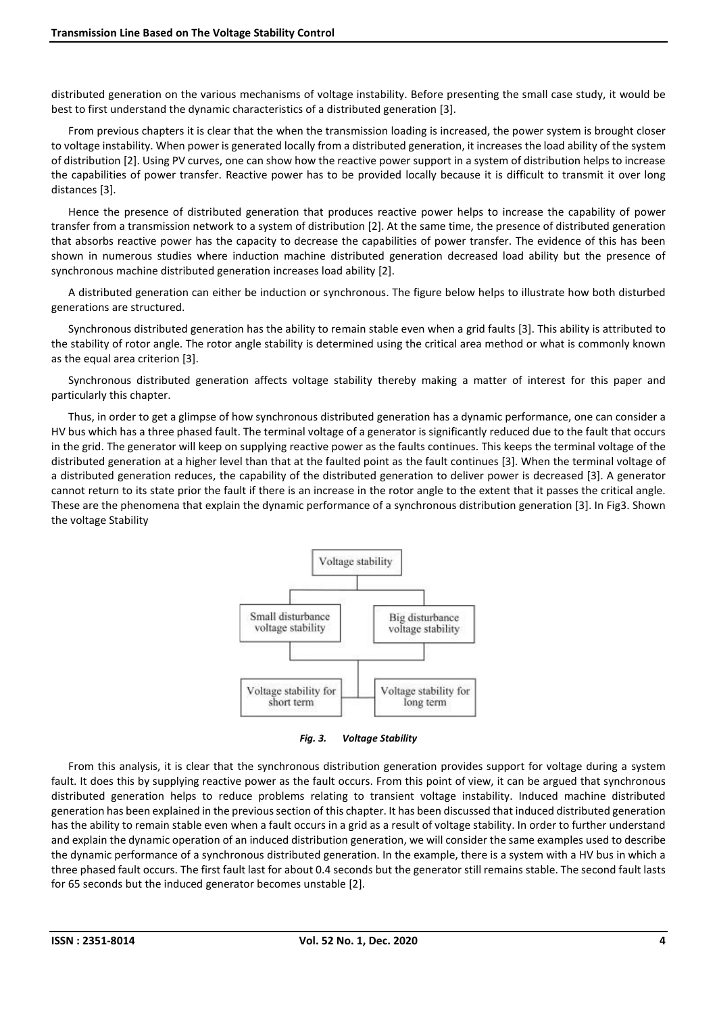distributed generation on the various mechanisms of voltage instability. Before presenting the small case study, it would be best to first understand the dynamic characteristics of a distributed generation [3].

From previous chapters it is clear that the when the transmission loading is increased, the power system is brought closer to voltage instability. When power is generated locally from a distributed generation, it increases the load ability of the system of distribution [2]. Using PV curves, one can show how the reactive power support in a system of distribution helps to increase the capabilities of power transfer. Reactive power has to be provided locally because it is difficult to transmit it over long distances [3].

Hence the presence of distributed generation that produces reactive power helps to increase the capability of power transfer from a transmission network to a system of distribution [2]. At the same time, the presence of distributed generation that absorbs reactive power has the capacity to decrease the capabilities of power transfer. The evidence of this has been shown in numerous studies where induction machine distributed generation decreased load ability but the presence of synchronous machine distributed generation increases load ability [2].

A distributed generation can either be induction or synchronous. The figure below helps to illustrate how both disturbed generations are structured.

Synchronous distributed generation has the ability to remain stable even when a grid faults [3]. This ability is attributed to the stability of rotor angle. The rotor angle stability is determined using the critical area method or what is commonly known as the equal area criterion [3].

Synchronous distributed generation affects voltage stability thereby making a matter of interest for this paper and particularly this chapter.

Thus, in order to get a glimpse of how synchronous distributed generation has a dynamic performance, one can consider a HV bus which has a three phased fault. The terminal voltage of a generator is significantly reduced due to the fault that occurs in the grid. The generator will keep on supplying reactive power as the faults continues. This keeps the terminal voltage of the distributed generation at a higher level than that at the faulted point as the fault continues [3]. When the terminal voltage of a distributed generation reduces, the capability of the distributed generation to deliver power is decreased [3]. A generator cannot return to its state prior the fault if there is an increase in the rotor angle to the extent that it passes the critical angle. These are the phenomena that explain the dynamic performance of a synchronous distribution generation [3]. In Fig3. Shown the voltage Stability



*Fig. 3. Voltage Stability*

From this analysis, it is clear that the synchronous distribution generation provides support for voltage during a system fault. It does this by supplying reactive power as the fault occurs. From this point of view, it can be argued that synchronous distributed generation helps to reduce problems relating to transient voltage instability. Induced machine distributed generation has been explained in the previous section of this chapter. It has been discussed that induced distributed generation has the ability to remain stable even when a fault occurs in a grid as a result of voltage stability. In order to further understand and explain the dynamic operation of an induced distribution generation, we will consider the same examples used to describe the dynamic performance of a synchronous distributed generation. In the example, there is a system with a HV bus in which a three phased fault occurs. The first fault last for about 0.4 seconds but the generator still remains stable. The second fault lasts for 65 seconds but the induced generator becomes unstable [2].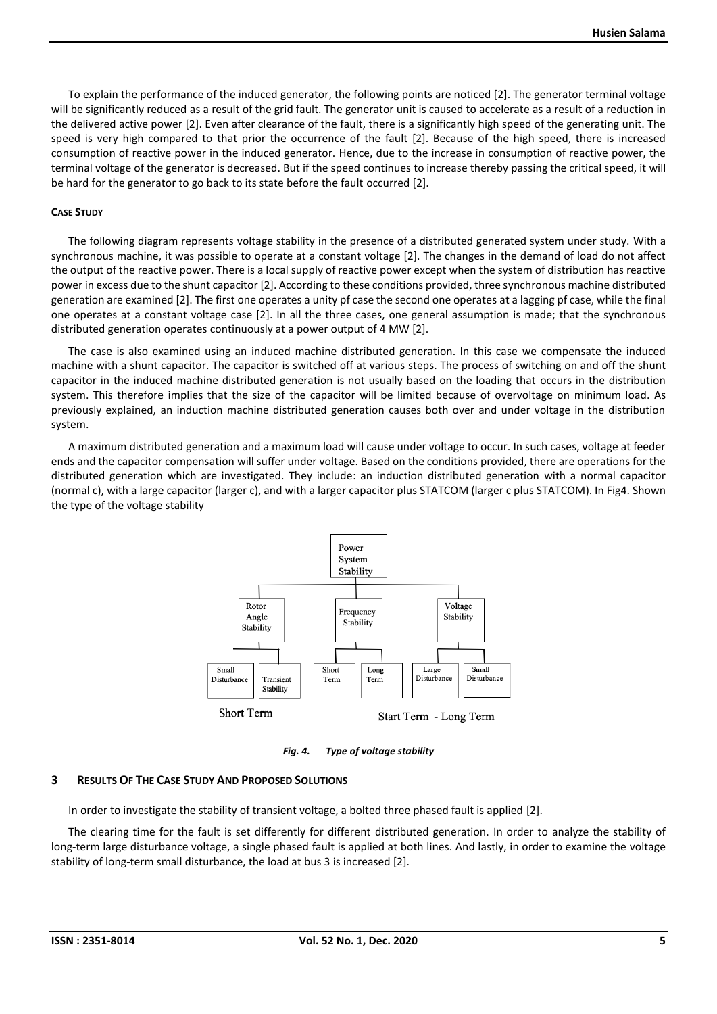To explain the performance of the induced generator, the following points are noticed [2]. The generator terminal voltage will be significantly reduced as a result of the grid fault. The generator unit is caused to accelerate as a result of a reduction in the delivered active power [2]. Even after clearance of the fault, there is a significantly high speed of the generating unit. The speed is very high compared to that prior the occurrence of the fault [2]. Because of the high speed, there is increased consumption of reactive power in the induced generator. Hence, due to the increase in consumption of reactive power, the terminal voltage of the generator is decreased. But if the speed continues to increase thereby passing the critical speed, it will be hard for the generator to go back to its state before the fault occurred [2].

#### **CASE STUDY**

The following diagram represents voltage stability in the presence of a distributed generated system under study. With a synchronous machine, it was possible to operate at a constant voltage [2]. The changes in the demand of load do not affect the output of the reactive power. There is a local supply of reactive power except when the system of distribution has reactive power in excess due to the shunt capacitor [2]. According to these conditions provided, three synchronous machine distributed generation are examined [2]. The first one operates a unity pf case the second one operates at a lagging pf case, while the final one operates at a constant voltage case [2]. In all the three cases, one general assumption is made; that the synchronous distributed generation operates continuously at a power output of 4 MW [2].

The case is also examined using an induced machine distributed generation. In this case we compensate the induced machine with a shunt capacitor. The capacitor is switched off at various steps. The process of switching on and off the shunt capacitor in the induced machine distributed generation is not usually based on the loading that occurs in the distribution system. This therefore implies that the size of the capacitor will be limited because of overvoltage on minimum load. As previously explained, an induction machine distributed generation causes both over and under voltage in the distribution system.

A maximum distributed generation and a maximum load will cause under voltage to occur. In such cases, voltage at feeder ends and the capacitor compensation will suffer under voltage. Based on the conditions provided, there are operations for the distributed generation which are investigated. They include: an induction distributed generation with a normal capacitor (normal c), with a large capacitor (larger c), and with a larger capacitor plus STATCOM (larger c plus STATCOM). In Fig4. Shown the type of the voltage stability



## **3 RESULTS OF THE CASE STUDY AND PROPOSED SOLUTIONS**

In order to investigate the stability of transient voltage, a bolted three phased fault is applied [2].

The clearing time for the fault is set differently for different distributed generation. In order to analyze the stability of long-term large disturbance voltage, a single phased fault is applied at both lines. And lastly, in order to examine the voltage stability of long-term small disturbance, the load at bus 3 is increased [2].

*Fig. 4. Type of voltage stability*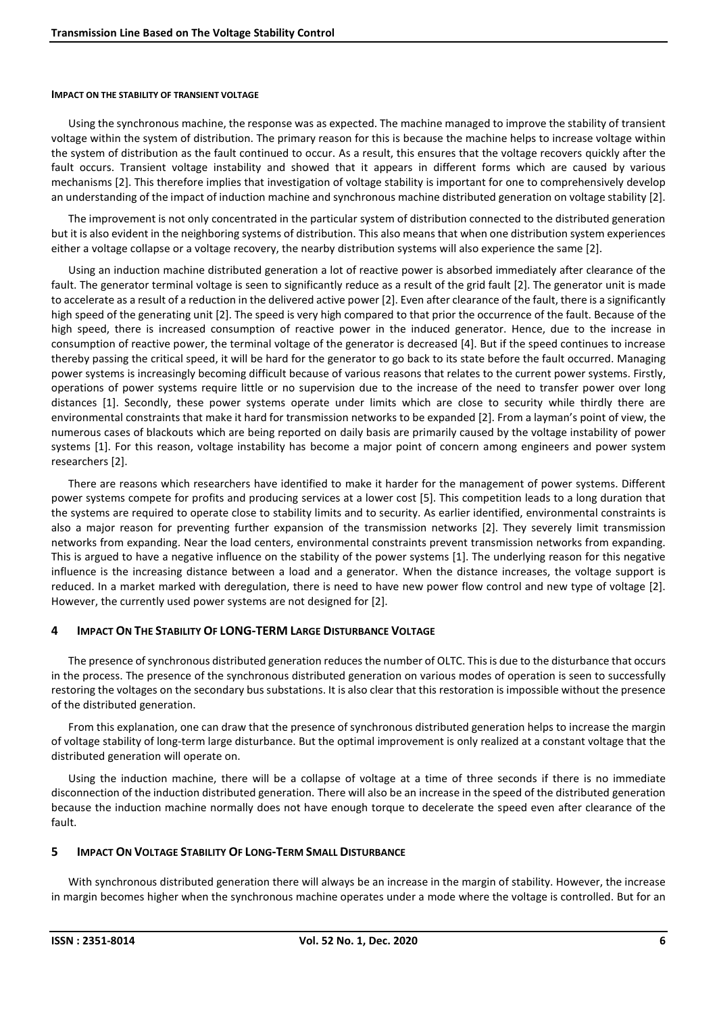#### **IMPACT ON THE STABILITY OF TRANSIENT VOLTAGE**

Using the synchronous machine, the response was as expected. The machine managed to improve the stability of transient voltage within the system of distribution. The primary reason for this is because the machine helps to increase voltage within the system of distribution as the fault continued to occur. As a result, this ensures that the voltage recovers quickly after the fault occurs. Transient voltage instability and showed that it appears in different forms which are caused by various mechanisms [2]. This therefore implies that investigation of voltage stability is important for one to comprehensively develop an understanding of the impact of induction machine and synchronous machine distributed generation on voltage stability [2].

The improvement is not only concentrated in the particular system of distribution connected to the distributed generation but it is also evident in the neighboring systems of distribution. This also means that when one distribution system experiences either a voltage collapse or a voltage recovery, the nearby distribution systems will also experience the same [2].

Using an induction machine distributed generation a lot of reactive power is absorbed immediately after clearance of the fault. The generator terminal voltage is seen to significantly reduce as a result of the grid fault [2]. The generator unit is made to accelerate as a result of a reduction in the delivered active power [2]. Even after clearance of the fault, there is a significantly high speed of the generating unit [2]. The speed is very high compared to that prior the occurrence of the fault. Because of the high speed, there is increased consumption of reactive power in the induced generator. Hence, due to the increase in consumption of reactive power, the terminal voltage of the generator is decreased [4]. But if the speed continues to increase thereby passing the critical speed, it will be hard for the generator to go back to its state before the fault occurred. Managing power systems is increasingly becoming difficult because of various reasons that relates to the current power systems. Firstly, operations of power systems require little or no supervision due to the increase of the need to transfer power over long distances [1]. Secondly, these power systems operate under limits which are close to security while thirdly there are environmental constraints that make it hard for transmission networks to be expanded [2]. From a layman's point of view, the numerous cases of blackouts which are being reported on daily basis are primarily caused by the voltage instability of power systems [1]. For this reason, voltage instability has become a major point of concern among engineers and power system researchers [2].

There are reasons which researchers have identified to make it harder for the management of power systems. Different power systems compete for profits and producing services at a lower cost [5]. This competition leads to a long duration that the systems are required to operate close to stability limits and to security. As earlier identified, environmental constraints is also a major reason for preventing further expansion of the transmission networks [2]. They severely limit transmission networks from expanding. Near the load centers, environmental constraints prevent transmission networks from expanding. This is argued to have a negative influence on the stability of the power systems [1]. The underlying reason for this negative influence is the increasing distance between a load and a generator. When the distance increases, the voltage support is reduced. In a market marked with deregulation, there is need to have new power flow control and new type of voltage [2]. However, the currently used power systems are not designed for [2].

## **4 IMPACT ON THE STABILITY OF LONG-TERM LARGE DISTURBANCE VOLTAGE**

The presence of synchronous distributed generation reduces the number of OLTC. This is due to the disturbance that occurs in the process. The presence of the synchronous distributed generation on various modes of operation is seen to successfully restoring the voltages on the secondary bus substations. It is also clear that this restoration is impossible without the presence of the distributed generation.

From this explanation, one can draw that the presence of synchronous distributed generation helps to increase the margin of voltage stability of long-term large disturbance. But the optimal improvement is only realized at a constant voltage that the distributed generation will operate on.

Using the induction machine, there will be a collapse of voltage at a time of three seconds if there is no immediate disconnection of the induction distributed generation. There will also be an increase in the speed of the distributed generation because the induction machine normally does not have enough torque to decelerate the speed even after clearance of the fault.

## **5 IMPACT ON VOLTAGE STABILITY OF LONG-TERM SMALL DISTURBANCE**

With synchronous distributed generation there will always be an increase in the margin of stability. However, the increase in margin becomes higher when the synchronous machine operates under a mode where the voltage is controlled. But for an